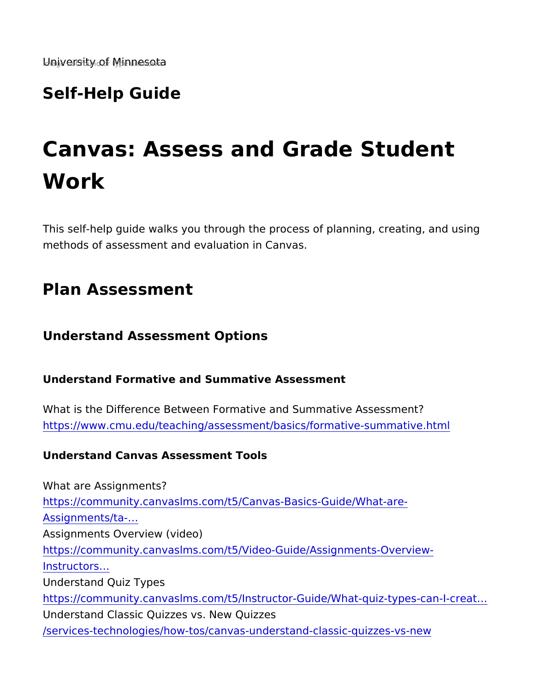Self-Help Guide

# Canvas: Assess and Grade Stude Work

This self-help guide walks you through the process of planning, c methods of assessment and evaluation in Canvas.

## Plan Assessment

Understand Assessment Options

Understand Formative and Summative Assessment

What is the Difference Between Formative and Summative Assessi [https://www.cmu.edu/teaching/assessment/basics/forma](https://www.cmu.edu/teaching/assessment/basics/formative-summative.html)tive-summative-

Understand Canvas Assessment Tools

What are Assignments? https://community.canvasIms.com/t5/Canvas-Basics-Guide/What-a [Assignments/](https://community.canvaslms.com/t5/Canvas-Basics-Guide/What-are-Assignments/ta-p/9)ta- & Assignments Overview (video) [https://community.canvaslms.com/t5/Video-Guide/Ass](https://community.canvaslms.com/t5/Video-Guide/Assignments-Overview-Instructors/ta-p/381901)ignments-Over [Instructo](https://community.canvaslms.com/t5/Video-Guide/Assignments-Overview-Instructors/ta-p/381901)rs & Understand Quiz Types [https://community.canvaslms.com/t5/Instructor-Guide/What-](https://community.canvaslms.com/t5/Instructor-Guide/What-quiz-types-can-I-create-in-a-course/ta-p/1251)quiz-ty Understand Classic Quizzes vs. New Quizzes [/services-technologies/how-tos/canvas-understand-c](https://it.umn.edu/services-technologies/how-tos/canvas-understand-classic-quizzes-vs-new)lassic-quizzes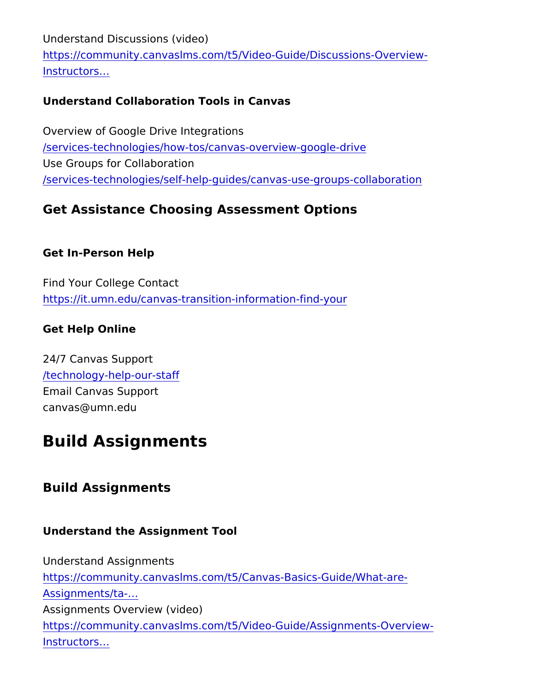Understand Discussions (video)

[https://community.canvaslms.com/t5/Video-Guide/Di](https://community.canvaslms.com/t5/Video-Guide/Discussions-Overview-Instructors/ta-p/383769)scussions-Ove [Instructo](https://community.canvaslms.com/t5/Video-Guide/Discussions-Overview-Instructors/ta-p/383769)rs &

Understand Collaboration Tools in Canvas

Overview of Google Drive Integrations [/services-technologies/how-tos/canvas-over](https://it.umn.edu/services-technologies/how-tos/canvas-overview-google-drive)view-google-drive Use Groups for Collaboration [/services-technologies/self-help-guides/canvas-use](https://it.umn.edu/services-technologies/self-help-guides/canvas-use-groups-collaboration)-groups-collab

Get Assistance Choosing Assessment Options

Get In-Person Help

Find Your College Contact [https://it.umn.edu/canvas-transition-info](https://it.umn.edu/canvas-transition-information-find-your)rmation-find-your

Get Help Online

24/7 Canvas Support [/technology-help-o](https://it.umn.edu/technology-help-our-staff)ur-staff Email Canvas Support canvas@umn.edu

# Build Assignments

Build Assignments

Understand the Assignment Tool

Understand Assignments [https://community.canvaslms.com/t5/Canvas-Basi](https://community.canvaslms.com/t5/Canvas-Basics-Guide/What-are-Assignments/ta-p/9)cs-Guide/What-a [Assignments/](https://community.canvaslms.com/t5/Canvas-Basics-Guide/What-are-Assignments/ta-p/9)ta- & Assignments Overview (video) [https://community.canvaslms.com/t5/Video-Guide/Ass](https://community.canvaslms.com/t5/Video-Guide/Assignments-Overview-Instructors/ta-p/381901)ignments-Over [Instructo](https://community.canvaslms.com/t5/Video-Guide/Assignments-Overview-Instructors/ta-p/381901)rs &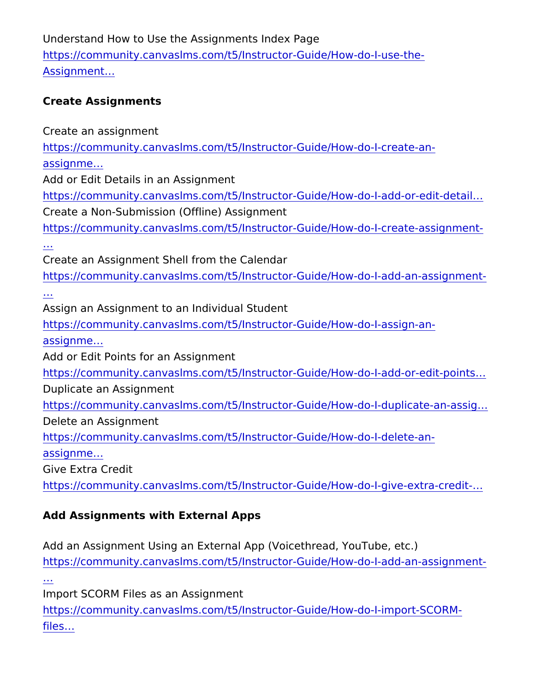Understand How to Use the Assignments Index Page [https://community.canvaslms.com/t5/Instructor-Guid](https://community.canvaslms.com/t5/Instructor-Guide/How-do-I-use-the-Assignments-Index-Page/ta-p/777)e/How-do-I-us [Assignmen](https://community.canvaslms.com/t5/Instructor-Guide/How-do-I-use-the-Assignments-Index-Page/ta-p/777)t &

Create Assignments

Create an assignment

[https://community.canvaslms.com/t5/Instructor-Guide](https://community.canvaslms.com/t5/Instructor-Guide/How-do-I-create-an-assignment/ta-p/740)/How-do-I-cr [assignm](https://community.canvaslms.com/t5/Instructor-Guide/How-do-I-create-an-assignment/ta-p/740)e &

Add or Edit Details in an Assignment

[https://community.canvaslms.com/t5/Instructor-Guide/How-](https://community.canvaslms.com/t5/Instructor-Guide/How-do-I-add-or-edit-details-in-an-assignment/ta-p/971)do-I-ad Create a Non-Submission (Offline) Assignment

[https://community.canvaslms.com/t5/Instructor-Guide/How-](https://community.canvaslms.com/t5/Instructor-Guide/How-do-I-create-assignment-columns-for-non-submission/ta-p/680)do-I-cr  [&](https://community.canvaslms.com/t5/Instructor-Guide/How-do-I-create-assignment-columns-for-non-submission/ta-p/680)

Create an Assignment Shell from the Calendar

[https://community.canvaslms.com/t5/Instructor-Guide/How-d](https://community.canvaslms.com/t5/Instructor-Guide/How-do-I-add-an-assignment-from-the-Calendar/ta-p/933)o-I-ad  [&](https://community.canvaslms.com/t5/Instructor-Guide/How-do-I-add-an-assignment-from-the-Calendar/ta-p/933)

Assign an Assignment to an Individual Student

[https://community.canvaslms.com/t5/Instructor-Guide](https://community.canvaslms.com/t5/Instructor-Guide/How-do-I-assign-an-assignment-to-an-individual-student/ta-p/717)/How-do-I-as [assignm](https://community.canvaslms.com/t5/Instructor-Guide/How-do-I-assign-an-assignment-to-an-individual-student/ta-p/717)e &

Add or Edit Points for an Assignment

[https://community.canvaslms.com/t5/Instructor-Guide/How-d](https://community.canvaslms.com/t5/Instructor-Guide/How-do-I-add-or-edit-points-for-an-assignment/ta-p/625)o-I-ad

Duplicate an Assignment

[https://community.canvaslms.com/t5/Instructor-Guide/How-d](https://community.canvaslms.com/t5/Instructor-Guide/How-do-I-duplicate-an-assignment/ta-p/636)o-I-du Delete an Assignment

[https://community.canvaslms.com/t5/Instructor-Guide](https://community.canvaslms.com/t5/Instructor-Guide/How-do-I-delete-an-assignment/ta-p/635)/How-do-I-de [assignm](https://community.canvaslms.com/t5/Instructor-Guide/How-do-I-delete-an-assignment/ta-p/635)e &

Give Extra Credit

[https://community.canvaslms.com/t5/Instructor-Guide/How-](https://community.canvaslms.com/t5/Instructor-Guide/How-do-I-give-extra-credit-in-a-course/ta-p/1253)do-I-gi

Add Assignments with External Apps

Add an Assignment Using an External App (Voicethread, YouTube, [https://community.canvaslms.com/t5/Instructor-Guide/How-d](https://community.canvaslms.com/t5/Instructor-Guide/How-do-I-add-an-assignment-using-an-external-app/ta-p/656)o-I-ad  [&](https://community.canvaslms.com/t5/Instructor-Guide/How-do-I-add-an-assignment-using-an-external-app/ta-p/656)

Import SCORM Files as an Assignment

[https://community.canvaslms.com/t5/Instructor-Guide/Ho](https://community.canvaslms.com/t5/Instructor-Guide/How-do-I-import-SCORM-files-as-an-assignment/ta-p/673)w-do-I-im [files](https://community.canvaslms.com/t5/Instructor-Guide/How-do-I-import-SCORM-files-as-an-assignment/ta-p/673) &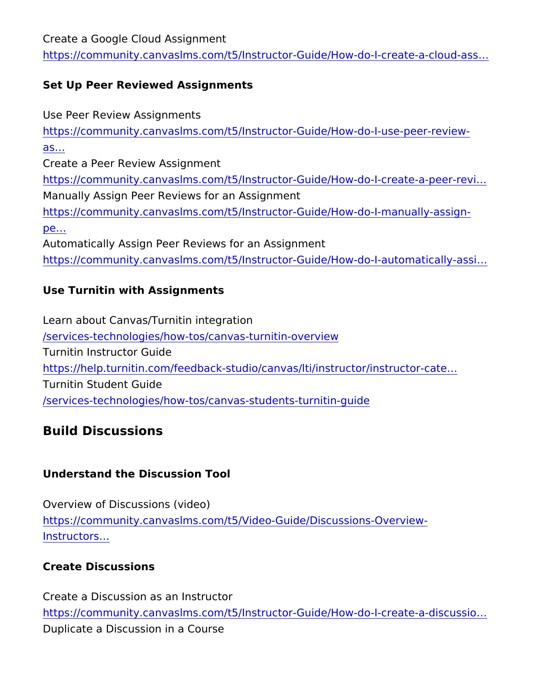Create a Google Cloud Assignment

[https://community.canvaslms.com/t5/Instructor-Guide/How-d](https://community.canvaslms.com/t5/Instructor-Guide/How-do-I-create-a-cloud-assignment-with-a-Google-Drive-file/ta-p/686)o-I-cr

Set Up Peer Reviewed Assignments

Use Peer Review Assignments

[https://community.canvaslms.com/t5/Instructor-Guide/How](https://community.canvaslms.com/t5/Instructor-Guide/How-do-I-use-peer-review-assignments-in-a-course/ta-p/697)-do-I-us [as &](https://community.canvaslms.com/t5/Instructor-Guide/How-do-I-use-peer-review-assignments-in-a-course/ta-p/697)

Create a Peer Review Assignment

[https://community.canvaslms.com/t5/Instructor-Guide/How-d](https://community.canvaslms.com/t5/Instructor-Guide/How-do-I-create-a-peer-review-assignment/ta-p/641)o-I-cr Manually Assign Peer Reviews for an Assignment

[https://community.canvaslms.com/t5/Instructor-Guide/How](https://community.canvaslms.com/t5/Instructor-Guide/How-do-I-manually-assign-peer-reviews-for-an-assignment/ta-p/650)-do-I-ma [pe &](https://community.canvaslms.com/t5/Instructor-Guide/How-do-I-manually-assign-peer-reviews-for-an-assignment/ta-p/650)

Automatically Assign Peer Reviews for an Assignment [https://community.canvaslms.com/t5/Instructor-Guide/How-d](https://community.canvaslms.com/t5/Instructor-Guide/How-do-I-automatically-assign-peer-reviews-for-an-assignment/ta-p/899)o-I-au

Use Turnitin with Assignments

Learn about Canvas/Turnitin integration [/services-technologies/how-tos/canvas-](https://it.umn.edu/services-technologies/how-tos/canvas-turnitin-overview)turnitin-overview Turnitin Instructor Guide [https://help.turnitin.com/feedback-studio/canvas/lti/inst](https://help.turnitin.com/feedback-studio/canvas/lti/instructor/instructor-category.htm)ructor/ins Turnitin Student Guide [/services-technologies/how-tos/canvas-stud](https://it.umn.edu/services-technologies/how-tos/canvas-students-turnitin-guide)ents-turnitin-guide

Build Discussions

Understand the Discussion Tool

Overview of Discussions (video) [https://community.canvaslms.com/t5/Video-Guide/Di](https://community.canvaslms.com/t5/Video-Guide/Discussions-Overview-Instructors/ta-p/383769)scussions-Ove [Instructo](https://community.canvaslms.com/t5/Video-Guide/Discussions-Overview-Instructors/ta-p/383769)rs &

Create Discussions

Create a Discussion as an Instructor [https://community.canvaslms.com/t5/Instructor-Guide/How-d](https://community.canvaslms.com/t5/Instructor-Guide/How-do-I-create-a-discussion-as-an-instructor/ta-p/1029)o-I-cr Duplicate a Discussion in a Course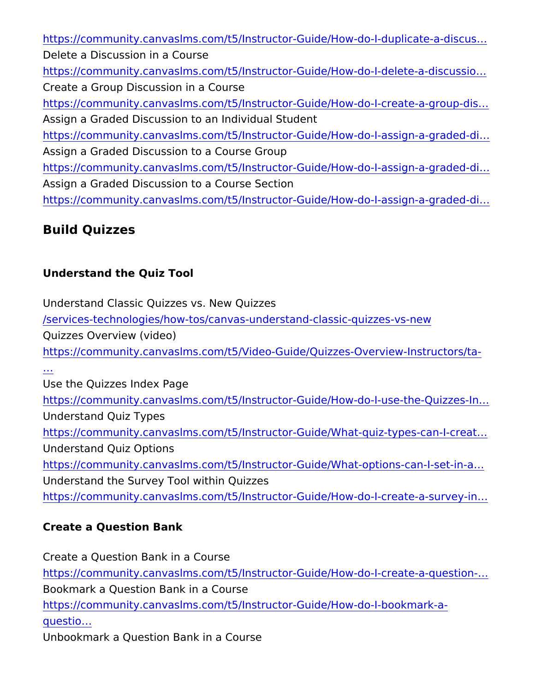[https://community.canvaslms.com/t5/Instructor-Guide/How-d](https://community.canvaslms.com/t5/Instructor-Guide/How-do-I-duplicate-a-discussion-in-a-course/ta-p/756)o-I-du Delete a Discussion in a Course [https://community.canvaslms.com/t5/Instructor-Guide/How-d](https://community.canvaslms.com/t5/Instructor-Guide/How-do-I-delete-a-discussion-in-a-course/ta-p/1073)o-I-de Create a Group Discussion in a Course [https://community.canvaslms.com/t5/Instructor-Guide/How-d](https://community.canvaslms.com/t5/Instructor-Guide/How-do-I-create-a-group-discussion-in-a-course/ta-p/911)o-I-cr Assign a Graded Discussion to an Individual Student [https://community.canvaslms.com/t5/Instructor-Guide/How-d](https://community.canvaslms.com/t5/Instructor-Guide/How-do-I-assign-a-graded-discussion-to-an-individual-student/ta-p/719)o-I-as Assign a Graded Discussion to a Course Group [https://community.canvaslms.com/t5/Instructor-Guide/How-d](https://community.canvaslms.com/t5/Instructor-Guide/How-do-I-assign-a-graded-discussion-to-a-course-group/ta-p/1070)o-I-as Assign a Graded Discussion to a Course Section [https://community.canvaslms.com/t5/Instructor-Guide/How-d](https://community.canvaslms.com/t5/Instructor-Guide/How-do-I-assign-a-graded-discussion-to-a-course-section/ta-p/915)o-I-as

Build Quizzes

Understand the Quiz Tool

Understand Classic Quizzes vs. New Quizzes

[/services-technologies/how-tos/canvas-understand-c](https://it.umn.edu/services-technologies/how-tos/canvas-understand-classic-quizzes-vs-new)lassic-quizzes Quizzes Overview (video)

[https://community.canvaslms.com/t5/Video-Guide/Quizzes-O](https://community.canvaslms.com/t5/Video-Guide/Quizzes-Overview-Instructors/ta-p/383786)vervie  [&](https://community.canvaslms.com/t5/Video-Guide/Quizzes-Overview-Instructors/ta-p/383786)

Use the Quizzes Index Page

[https://community.canvaslms.com/t5/Instructor-Guide/How-d](https://community.canvaslms.com/t5/Instructor-Guide/How-do-I-use-the-Quizzes-Index-Page/ta-p/1104)o-I-us Understand Quiz Types

[https://community.canvaslms.com/t5/Instructor-Guide/What-](https://community.canvaslms.com/t5/Instructor-Guide/What-quiz-types-can-I-create-in-a-course/ta-p/1251)quiz-ty Understand Quiz Options

[https://community.canvaslms.com/t5/Instructor-Guide/What-](https://community.canvaslms.com/t5/Instructor-Guide/What-options-can-I-set-in-a-quiz/ta-p/683)option Understand the Survey Tool within Quizzes

[https://community.canvaslms.com/t5/Instructor-Guide/How-d](https://community.canvaslms.com/t5/Instructor-Guide/How-do-I-create-a-survey-in-my-course/ta-p/782)o-I-cr

Create a Question Bank

Create a Question Bank in a Course [https://community.canvaslms.com/t5/Instructor-Guide/How-d](https://community.canvaslms.com/t5/Instructor-Guide/How-do-I-create-a-question-bank-in-a-course/ta-p/1228)o-I-cr Bookmark a Question Bank in a Course [https://community.canvaslms.com/t5/Instructor-Guide/H](https://community.canvaslms.com/t5/Instructor-Guide/How-do-I-bookmark-a-question-bank-in-a-course/ta-p/1231)ow-do-I-bo [questio](https://community.canvaslms.com/t5/Instructor-Guide/How-do-I-bookmark-a-question-bank-in-a-course/ta-p/1231) & Unbookmark a Question Bank in a Course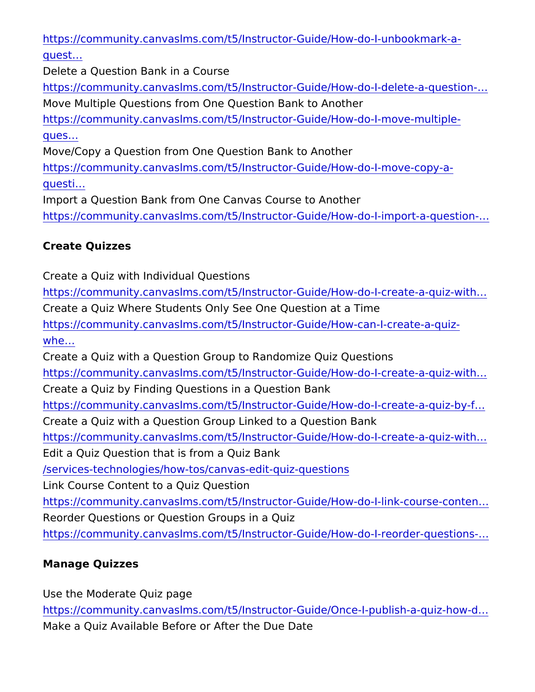[https://community.canvaslms.com/t5/Instructor-Guide/Ho](https://community.canvaslms.com/t5/Instructor-Guide/How-do-I-unbookmark-a-question-bank-in-a-course/ta-p/1026)w-do-I-un [quest](https://community.canvaslms.com/t5/Instructor-Guide/How-do-I-unbookmark-a-question-bank-in-a-course/ta-p/1026) &

Delete a Question Bank in a Course

[https://community.canvaslms.com/t5/Instructor-Guide/How-d](https://community.canvaslms.com/t5/Instructor-Guide/How-do-I-delete-a-question-bank-in-a-course/ta-p/1230)o-I-de Move Multiple Questions from One Question Bank to Another [https://community.canvaslms.com/t5/Instructor-Guide/Ho](https://community.canvaslms.com/t5/Instructor-Guide/How-do-I-move-multiple-questions-from-one-question-bank-to/ta-p/1238)w-do-I-mo [ques](https://community.canvaslms.com/t5/Instructor-Guide/How-do-I-move-multiple-questions-from-one-question-bank-to/ta-p/1238) &

Move/Copy a Question from One Question Bank to Another [https://community.canvaslms.com/t5/Instructor-Guide/H](https://community.canvaslms.com/t5/Instructor-Guide/How-do-I-move-copy-a-question-from-one-question-bank-to-another/ta-p/1240)ow-do-I-mo [quest](https://community.canvaslms.com/t5/Instructor-Guide/How-do-I-move-copy-a-question-from-one-question-bank-to-another/ta-p/1240)i &

Import a Question Bank from One Canvas Course to Another [https://community.canvaslms.com/t5/Instructor-Guide/How-d](https://community.canvaslms.com/t5/Instructor-Guide/How-do-I-import-a-question-bank-from-one-Canvas-course-to/ta-p/1264)o-I-im

Create Quizzes

Create a Quiz with Individual Questions

[https://community.canvaslms.com/t5/Instructor-Guide/How-d](https://community.canvaslms.com/t5/Instructor-Guide/How-do-I-create-a-quiz-with-individual-questions/ta-p/1248)o-I-cr Create a Quiz Where Students Only See One Question at a Time [https://community.canvaslms.com/t5/Instructor-Guide/Ho](https://community.canvaslms.com/t5/Instructor-Guide/How-can-I-create-a-quiz-where-students-only-see-one-question-at/ta-p/1175)w-can-I-c [whe &](https://community.canvaslms.com/t5/Instructor-Guide/How-can-I-create-a-quiz-where-students-only-see-one-question-at/ta-p/1175)

Create a Quiz with a Question Group to Randomize Quiz Question [https://community.canvaslms.com/t5/Instructor-Guide/How-d](https://community.canvaslms.com/t5/Instructor-Guide/How-do-I-create-a-quiz-with-a-question-group-to-randomize-quiz/ta-p/1032)o-I-cr Create a Quiz by Finding Questions in a Question Bank [https://community.canvaslms.com/t5/Instructor-Guide/How-d](https://community.canvaslms.com/t5/Instructor-Guide/How-do-I-create-a-quiz-by-finding-questions-in-a-question-bank/ta-p/1034)o-I-cr Create a Quiz with a Question Group Linked to a Question Bank [https://community.canvaslms.com/t5/Instructor-Guide/How-d](https://community.canvaslms.com/t5/Instructor-Guide/How-do-I-create-a-quiz-with-a-question-group-linked-to-a/ta-p/1033)o-I-cr Edit a Quiz Question that is from a Quiz Bank [/services-technologies/how-tos/canvas-ed](https://it.umn.edu/services-technologies/how-tos/canvas-edit-quiz-questions)it-quiz-questions Link Course Content to a Quiz Question [https://community.canvaslms.com/t5/Instructor-Guide/How-d](https://community.canvaslms.com/t5/Instructor-Guide/How-do-I-link-course-content-to-a-quiz-question/ta-p/1155)o-I-lin Reorder Questions or Question Groups in a Quiz [https://community.canvaslms.com/t5/Instructor-Guide/How-d](https://community.canvaslms.com/t5/Instructor-Guide/How-do-I-reorder-questions-or-question-groups-in-a-quiz/ta-p/1263)o-I-re

Manage Quizzes

Use the Moderate Quiz page [https://community.canvaslms.com/t5/Instructor-Guide/Once-](https://community.canvaslms.com/t5/Instructor-Guide/Once-I-publish-a-quiz-how-do-I-use-the-Moderate-Quiz-page/ta-p/761)I-publ Make a Quiz Available Before or After the Due Date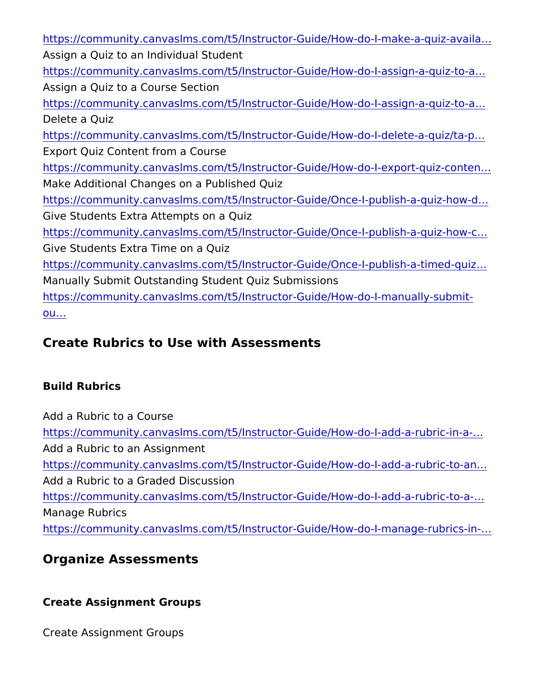[https://community.canvaslms.com/t5/Instructor-Guide/How-d](https://community.canvaslms.com/t5/Instructor-Guide/How-do-I-make-a-quiz-available-before-or-after-the-due-date/ta-p/1241)o-I-ma Assign a Quiz to an Individual Student [https://community.canvaslms.com/t5/Instructor-Guide/How-d](https://community.canvaslms.com/t5/Instructor-Guide/How-do-I-assign-a-quiz-to-an-individual-student/ta-p/714)o-I-as Assign a Quiz to a Course Section [https://community.canvaslms.com/t5/Instructor-Guide/How-d](https://community.canvaslms.com/t5/Instructor-Guide/How-do-I-assign-a-quiz-to-a-course-section/ta-p/907)o-I-as Delete a Quiz [https://community.canvaslms.com/t5/Instructor-Guide/How-d](https://community.canvaslms.com/t5/Instructor-Guide/How-do-I-delete-a-quiz/ta-p/1243)o-I-de Export Quiz Content from a Course [https://community.canvaslms.com/t5/Instructor-Guide/How-d](https://community.canvaslms.com/t5/Instructor-Guide/How-do-I-export-quiz-content-from-a-course/ta-p/826)o-I-ex Make Additional Changes on a Published Quiz [https://community.canvaslms.com/t5/Instructor-Guide/Once-](https://community.canvaslms.com/t5/Instructor-Guide/Once-I-publish-a-quiz-how-do-I-make-additional-changes/ta-p/1239)I-publ Give Students Extra Attempts on a Quiz [https://community.canvaslms.com/t5/Instructor-Guide/Once-](https://community.canvaslms.com/t5/Instructor-Guide/Once-I-publish-a-quiz-how-can-I-give-my-students-extra-attempts/ta-p/1242)I-publ Give Students Extra Time on a Quiz [https://community.canvaslms.com/t5/Instructor-Guide/Once-](https://community.canvaslms.com/t5/Instructor-Guide/Once-I-publish-a-timed-quiz-how-can-I-give-my-students-extra/ta-p/999)I-publ Manually Submit Outstanding Student Quiz Submissions [https://community.canvaslms.com/t5/Instructor-Guide/How](https://community.canvaslms.com/t5/Instructor-Guide/How-do-I-manually-submit-outstanding-student-quiz-submissions/ta-p/808)-do-I-ma [ou &](https://community.canvaslms.com/t5/Instructor-Guide/How-do-I-manually-submit-outstanding-student-quiz-submissions/ta-p/808)

Create Rubrics to Use with Assessments

Build Rubrics

Add a Rubric to a Course [https://community.canvaslms.com/t5/Instructor-Guide/How-](https://community.canvaslms.com/t5/Instructor-Guide/How-do-I-add-a-rubric-in-a-course/ta-p/842)do-I-ad Add a Rubric to an Assignment [https://community.canvaslms.com/t5/Instructor-Guide/How-d](https://community.canvaslms.com/t5/Instructor-Guide/How-do-I-add-a-rubric-to-an-assignment/ta-p/1058)o-I-ad Add a Rubric to a Graded Discussion [https://community.canvaslms.com/t5/Instructor-Guide/How-d](https://community.canvaslms.com/t5/Instructor-Guide/How-do-I-add-a-rubric-to-a-graded-discussion/ta-p/1062)o-I-ad Manage Rubrics [https://community.canvaslms.com/t5/Instructor-Guide/How-d](https://community.canvaslms.com/t5/Instructor-Guide/How-do-I-manage-rubrics-in-a-course/ta-p/1017)o-I-ma

Organize Assessments

Create Assignment Groups

Create Assignment Groups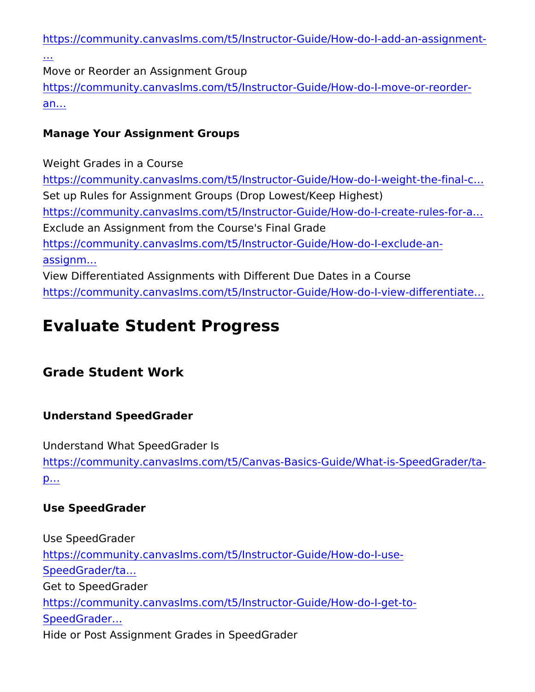[https://community.canvaslms.com/t5/Instructor-Guide/How-d](https://community.canvaslms.com/t5/Instructor-Guide/How-do-I-add-an-assignment-group-in-a-course/ta-p/970)o-I-ad  [&](https://community.canvaslms.com/t5/Instructor-Guide/How-do-I-add-an-assignment-group-in-a-course/ta-p/970)

Move or Reorder an Assignment Group [https://community.canvaslms.com/t5/Instructor-Guide/How](https://community.canvaslms.com/t5/Instructor-Guide/How-do-I-move-or-reorder-an-assignment-group/ta-p/1296)-do-I-mo [an &](https://community.canvaslms.com/t5/Instructor-Guide/How-do-I-move-or-reorder-an-assignment-group/ta-p/1296)

Manage Your Assignment Groups

#### Weight Grades in a Course

[https://community.canvaslms.com/t5/Instructor-Guide/How-d](https://community.canvaslms.com/t5/Instructor-Guide/How-do-I-weight-the-final-course-grade-based-on-assignment/ta-p/746)o-I-we Set up Rules for Assignment Groups (Drop Lowest/Keep Highest) [https://community.canvaslms.com/t5/Instructor-Guide/How-](https://community.canvaslms.com/t5/Instructor-Guide/How-do-I-create-rules-for-an-assignment-group/ta-p/848)do-I-cr Exclude an Assignment from the Course's Final Grade [https://community.canvaslms.com/t5/Instructor-Guide/](https://community.canvaslms.com/t5/Instructor-Guide/How-do-I-exclude-an-assignment-from-the-course-s-final-grades/ta-p/958)How-do-I-ex [assignm](https://community.canvaslms.com/t5/Instructor-Guide/How-do-I-exclude-an-assignment-from-the-course-s-final-grades/ta-p/958) & View Differentiated Assignments with Different Due Dates in a Co

[https://community.canvaslms.com/t5/Instructor-Guide/How-d](https://community.canvaslms.com/t5/Instructor-Guide/How-do-I-view-differentiated-assignments-with-different-due/ta-p/715)o-I-vie

## Evaluate Student Progress

Grade Student Work

Understand SpeedGrader

Understand What SpeedGrader Is [https://community.canvaslms.com/t5/Canvas-Basics-Guide/W](https://community.canvaslms.com/t5/Canvas-Basics-Guide/What-is-SpeedGrader/ta-p/13)hat-is [p &](https://community.canvaslms.com/t5/Canvas-Basics-Guide/What-is-SpeedGrader/ta-p/13)

Use SpeedGrader

Use SpeedGrader [https://community.canvaslms.com/t5/Instructor-G](https://community.canvaslms.com/t5/Instructor-Guide/How-do-I-use-SpeedGrader/ta-p/757)uide/How-do-I-us [SpeedGrader](https://community.canvaslms.com/t5/Instructor-Guide/How-do-I-use-SpeedGrader/ta-p/757)/ta & Get to SpeedGrader [https://community.canvaslms.com/t5/Instructor-Gu](https://community.canvaslms.com/t5/Instructor-Guide/How-do-I-get-to-SpeedGrader-from-an-assignment-quiz-or-graded/ta-p/759)ide/How-do-I-ge [SpeedGrad](https://community.canvaslms.com/t5/Instructor-Guide/How-do-I-get-to-SpeedGrader-from-an-assignment-quiz-or-graded/ta-p/759)er & Hide or Post Assignment Grades in SpeedGrader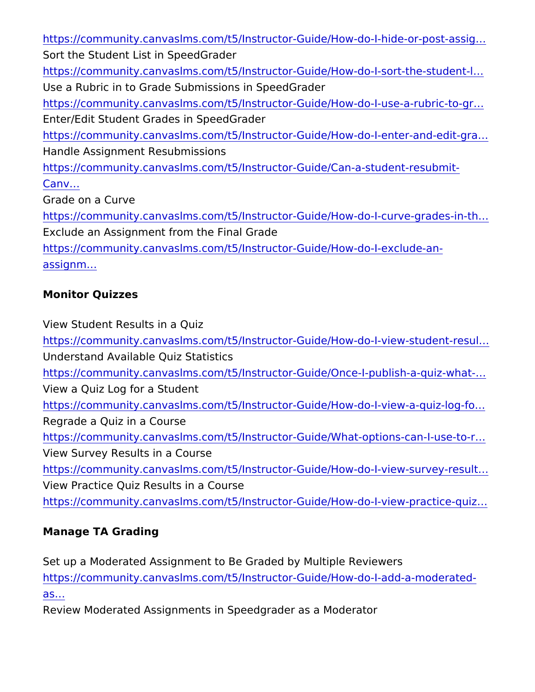[https://community.canvaslms.com/t5/Instructor-Guide/How-d](https://community.canvaslms.com/t5/Instructor-Guide/How-do-I-hide-or-post-assignment-grades-in-SpeedGrader/ta-p/1000)o-I-hid Sort the Student List in SpeedGrader [https://community.canvaslms.com/t5/Instructor-Guide/How-d](https://community.canvaslms.com/t5/Instructor-Guide/How-do-I-sort-the-student-list-in-SpeedGrader/ta-p/773)o-I-so Use a Rubric in to Grade Submissions in SpeedGrader [https://community.canvaslms.com/t5/Instructor-Guide/How-d](https://community.canvaslms.com/t5/Instructor-Guide/How-do-I-use-a-rubric-to-grade-submissions-in-SpeedGrader/ta-p/1015)o-I-us Enter/Edit Student Grades in SpeedGrader [https://community.canvaslms.com/t5/Instructor-Guide/How-d](https://community.canvaslms.com/t5/Instructor-Guide/How-do-I-enter-and-edit-grades-in-SpeedGrader/ta-p/938)o-I-en Handle Assignment Resubmissions [https://community.canvaslms.com/t5/Instructor-Guide/Ca](https://community.canvaslms.com/t5/Instructor-Guide/Can-a-student-resubmit-Canvas-assignments/ta-p/647)n-a-stude [Canv](https://community.canvaslms.com/t5/Instructor-Guide/Can-a-student-resubmit-Canvas-assignments/ta-p/647) & Grade on a Curve [https://community.canvaslms.com/t5/Instructor-Guide/How-d](https://community.canvaslms.com/t5/Instructor-Guide/How-do-I-curve-grades-in-the-Gradebook/ta-p/745)o-I-cu

Exclude an Assignment from the Final Grade [https://community.canvaslms.com/t5/Instructor-Guide/](https://community.canvaslms.com/t5/Instructor-Guide/How-do-I-exclude-an-assignment-from-the-course-s-final-grades/ta-p/958)How-do-I-ex [assignm](https://community.canvaslms.com/t5/Instructor-Guide/How-do-I-exclude-an-assignment-from-the-course-s-final-grades/ta-p/958) &

Monitor Quizzes

View Student Results in a Quiz [https://community.canvaslms.com/t5/Instructor-Guide/How-d](https://community.canvaslms.com/t5/Instructor-Guide/How-do-I-view-student-results-in-a-quiz/ta-p/1114)o-I-vie Understand Available Quiz Statistics [https://community.canvaslms.com/t5/Instructor-Guide/Once-](https://community.canvaslms.com/t5/Instructor-Guide/Once-I-publish-a-quiz-what-kinds-of-quiz-statistics-are/ta-p/659)I-publ View a Quiz Log for a Student [https://community.canvaslms.com/t5/Instructor-Guide/How-d](https://community.canvaslms.com/t5/Instructor-Guide/How-do-I-view-a-quiz-log-for-a-student/ta-p/580)o-I-vie Regrade a Quiz in a Course [https://community.canvaslms.com/t5/Instructor-Guide/What-](https://community.canvaslms.com/t5/Instructor-Guide/What-options-can-I-use-to-regrade-a-quiz-in-a-course/ta-p/1093)option View Survey Results in a Course [https://community.canvaslms.com/t5/Instructor-Guide/How-d](https://community.canvaslms.com/t5/Instructor-Guide/How-do-I-view-survey-results-in-a-course/ta-p/792)o-I-vie View Practice Quiz Results in a Course [https://community.canvaslms.com/t5/Instructor-Guide/How-d](https://community.canvaslms.com/t5/Instructor-Guide/How-do-I-view-practice-quiz-results-in-a-course/ta-p/896)o-I-vie

Manage TA Grading

Set up a Moderated Assignment to Be Graded by Multiple Reviewe [https://community.canvaslms.com/t5/Instructor-Guide/How](https://community.canvaslms.com/t5/Instructor-Guide/How-do-I-add-a-moderated-assignment-to-be-graded-by-multiple/ta-p/605)-do-I-ad [as &](https://community.canvaslms.com/t5/Instructor-Guide/How-do-I-add-a-moderated-assignment-to-be-graded-by-multiple/ta-p/605)

Review Moderated Assignments in Speedgrader as a Moderator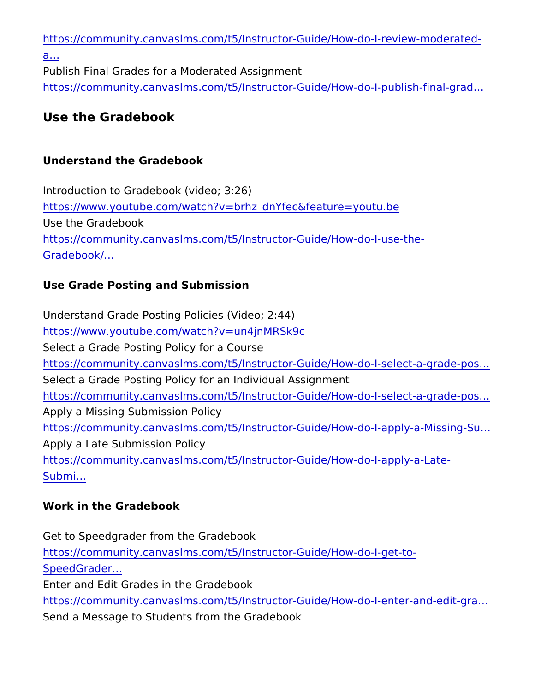[https://community.canvaslms.com/t5/Instructor-Guide/How-](https://community.canvaslms.com/t5/Instructor-Guide/How-do-I-review-moderated-assignments-in-SpeedGrader-as-a/ta-p/1044)do-I-re [a &](https://community.canvaslms.com/t5/Instructor-Guide/How-do-I-review-moderated-assignments-in-SpeedGrader-as-a/ta-p/1044)

Publish Final Grades for a Moderated Assignment [https://community.canvaslms.com/t5/Instructor-Guide/How-d](https://community.canvaslms.com/t5/Instructor-Guide/How-do-I-publish-final-grades-for-a-moderated-assignment/ta-p/681)o-I-pu

Use the Gradebook

Understand the Gradebook

Introduction to Gradebook (video; 3:26) [https://www.youtube.com/watch?v=brhz\\_dnYfec&](https://www.youtube.com/watch?v=brhz_dnYfec&feature=youtu.be)feature=youtu.be Use the Gradebook [https://community.canvaslms.com/t5/Instructor-Guid](https://community.canvaslms.com/t5/Instructor-Guide/How-do-I-use-the-Gradebook/ta-p/701)e/How-do-I-us [Gradeboo](https://community.canvaslms.com/t5/Instructor-Guide/How-do-I-use-the-Gradebook/ta-p/701)k/&

Use Grade Posting and Submission

Understand Grade Posting Policies (Video; 2:44) [https://www.youtube.com/watch?v=u](https://www.youtube.com/watch?v=un4jnMRSk9c)n4jnMRSk9c Select a Grade Posting Policy for a Course [https://community.canvaslms.com/t5/Instructor-Guide/How-d](https://community.canvaslms.com/t5/Instructor-Guide/How-do-I-select-a-grade-posting-policy-for-a-course-in-the/ta-p/588)o-I-se Select a Grade Posting Policy for an Individual Assignment [https://community.canvaslms.com/t5/Instructor-Guide/How-d](https://community.canvaslms.com/t5/Instructor-Guide/How-do-I-select-a-grade-posting-policy-for-an-assignment-in-the/ta-p/574)o-I-se Apply a Missing Submission Policy [https://community.canvaslms.com/t5/Instructor-Guide/How-d](https://community.canvaslms.com/t5/Instructor-Guide/How-do-I-apply-a-Missing-Submission-policy-in-the-Gradebook/ta-p/963)o-I-ap Apply a Late Submission Policy [https://community.canvaslms.com/t5/Instructor-Guide/H](https://community.canvaslms.com/t5/Instructor-Guide/How-do-I-apply-a-Late-Submission-policy-in-the-Gradebook/ta-p/965)ow-do-I-ap [Submi](https://community.canvaslms.com/t5/Instructor-Guide/How-do-I-apply-a-Late-Submission-policy-in-the-Gradebook/ta-p/965) &

Work in the Gradebook

Get to Speedgrader from the Gradebook [https://community.canvaslms.com/t5/Instructor-Gu](https://community.canvaslms.com/t5/Instructor-Guide/How-do-I-get-to-SpeedGrader-from-the-Gradebook/ta-p/925)ide/How-do-I-ge [SpeedGrad](https://community.canvaslms.com/t5/Instructor-Guide/How-do-I-get-to-SpeedGrader-from-the-Gradebook/ta-p/925)er & Enter and Edit Grades in the Gradebook [https://community.canvaslms.com/t5/Instructor-Guide/How-d](https://community.canvaslms.com/t5/Instructor-Guide/How-do-I-enter-and-edit-grades-in-the-Gradebook/ta-p/724)o-I-en Send a Message to Students from the Gradebook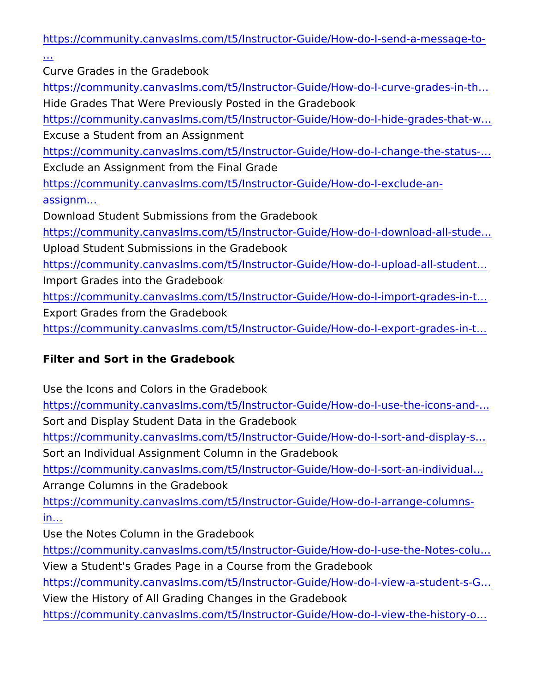[https://community.canvaslms.com/t5/Instructor-Guide/How-d](https://community.canvaslms.com/t5/Instructor-Guide/How-do-I-send-a-message-to-students-from-the-Gradebook/ta-p/741)o-I-se  [&](https://community.canvaslms.com/t5/Instructor-Guide/How-do-I-send-a-message-to-students-from-the-Gradebook/ta-p/741)

Curve Grades in the Gradebook

[https://community.canvaslms.com/t5/Instructor-Guide/How-d](https://community.canvaslms.com/t5/Instructor-Guide/How-do-I-curve-grades-in-the-Gradebook/ta-p/745)o-I-cu Hide Grades That Were Previously Posted in the Gradebook [https://community.canvaslms.com/t5/Instructor-Guide/How-d](https://community.canvaslms.com/t5/Instructor-Guide/How-do-I-hide-grades-that-were-previously-posted-in-the/ta-p/721)o-I-hide Excuse a Student from an Assignment [https://community.canvaslms.com/t5/Instructor-Guide/How-d](https://community.canvaslms.com/t5/Instructor-Guide/How-do-I-change-the-status-of-a-submission-in-the-Gradebook/ta-p/678)o-I-ch Exclude an Assignment from the Final Grade [https://community.canvaslms.com/t5/Instructor-Guide/](https://community.canvaslms.com/t5/Instructor-Guide/How-do-I-exclude-an-assignment-from-the-course-s-final-grades/ta-p/958)How-do-I-ex [assignm](https://community.canvaslms.com/t5/Instructor-Guide/How-do-I-exclude-an-assignment-from-the-course-s-final-grades/ta-p/958) & Download Student Submissions from the Gradebook [https://community.canvaslms.com/t5/Instructor-Guide/How-d](https://community.canvaslms.com/t5/Instructor-Guide/How-do-I-download-all-student-submissions-for-an-assignment-in/ta-p/752)o-I-do Upload Student Submissions in the Gradebook [https://community.canvaslms.com/t5/Instructor-Guide/How-d](https://community.canvaslms.com/t5/Instructor-Guide/How-do-I-upload-all-student-submissions-for-an-assignment/ta-p/945)o-I-up Import Grades into the Gradebook [https://community.canvaslms.com/t5/Instructor-Guide/How-d](https://community.canvaslms.com/t5/Instructor-Guide/How-do-I-import-grades-in-the-Gradebook/ta-p/807)o-I-im Export Grades from the Gradebook [https://community.canvaslms.com/t5/Instructor-Guide/How-d](https://community.canvaslms.com/t5/Instructor-Guide/How-do-I-export-grades-in-the-Gradebook/ta-p/809)o-I-ex

Filter and Sort in the Gradebook

Use the Icons and Colors in the Gradebook

[https://community.canvaslms.com/t5/Instructor-Guide/How-d](https://community.canvaslms.com/t5/Instructor-Guide/How-do-I-use-the-icons-and-colors-in-the-Gradebook/ta-p/781)o-I-us Sort and Display Student Data in the Gradebook

[https://community.canvaslms.com/t5/Instructor-Guide/How-d](https://community.canvaslms.com/t5/Instructor-Guide/How-do-I-sort-and-display-student-data-in-the-Gradebook/ta-p/1111)o-I-so

Sort an Individual Assignment Column in the Gradebook

[https://community.canvaslms.com/t5/Instructor-Guide/How-d](https://community.canvaslms.com/t5/Instructor-Guide/How-do-I-sort-an-individual-assignment-column-in-the-Gradebook/ta-p/749)o-I-so Arrange Columns in the Gradebook

[https://community.canvaslms.com/t5/Instructor-Guide/How](https://community.canvaslms.com/t5/Instructor-Guide/How-do-I-arrange-columns-in-the-Gradebook/ta-p/1018)-do-I-ar [in &](https://community.canvaslms.com/t5/Instructor-Guide/How-do-I-arrange-columns-in-the-Gradebook/ta-p/1018)

Use the Notes Column in the Gradebook

[https://community.canvaslms.com/t5/Instructor-Guide/How-d](https://community.canvaslms.com/t5/Instructor-Guide/How-do-I-use-the-Notes-column-in-the-Gradebook/ta-p/940)o-I-us View a Student's Grades Page in a Course from the Gradebook [https://community.canvaslms.com/t5/Instructor-Guide/How-d](https://community.canvaslms.com/t5/Instructor-Guide/How-do-I-view-a-student-s-Grades-page-in-a-course-from-the/ta-p/751)o-I-vie View the History of All Grading Changes in the Gradebook [https://community.canvaslms.com/t5/Instructor-Guide/How-d](https://community.canvaslms.com/t5/Instructor-Guide/How-do-I-view-the-history-of-all-grading-changes-in-the/ta-p/783)o-I-vie